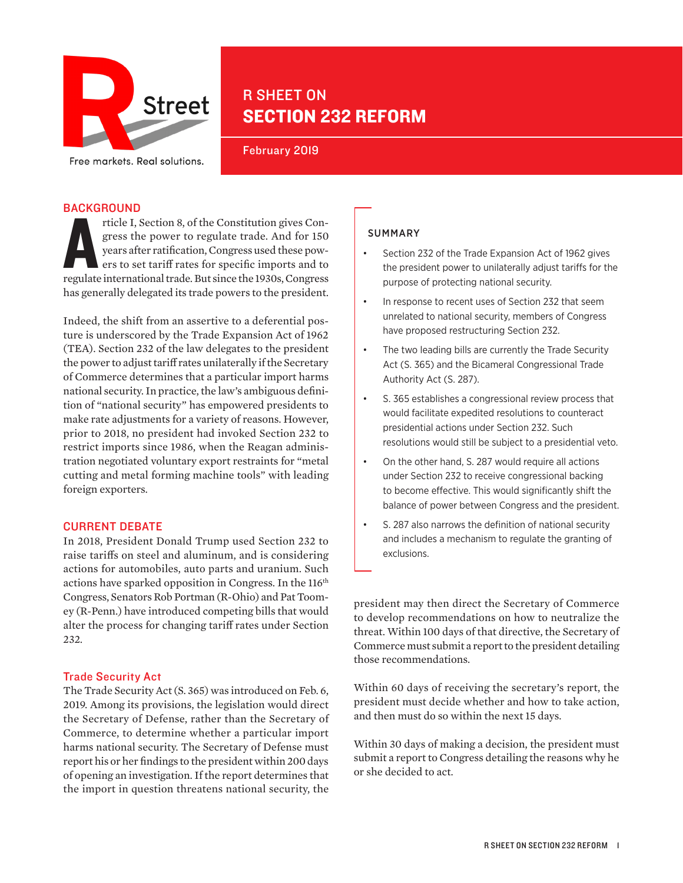

# R SHEET ON SECTION 232 REFORM

February 2019

## **BACKGROUND**

Ficle I, Section 8, of the Constitution gives Congress the power to regulate trade. And for 150 years after ratification, Congress used these powers to set tariff rates for specific imports and to regulate international tr rticle I, Section 8, of the Constitution gives Congress the power to regulate trade. And for 150 years after ratification, Congress used these powers to set tariff rates for specific imports and to has generally delegated its trade powers to the president.

Indeed, the shift from an assertive to a deferential posture is underscored by the Trade Expansion Act of 1962 (TEA). Section 232 of the law delegates to the president the power to adjust tariff rates unilaterally if the Secretary of Commerce determines that a particular import harms national security. In practice, the law's ambiguous definition of "national security" has empowered presidents to make rate adjustments for a variety of reasons. However, prior to 2018, no president had invoked Section 232 to restrict imports since 1986, when the Reagan administration negotiated voluntary export restraints for "metal cutting and metal forming machine tools" with leading foreign exporters.

# CURRENT DEBATE

In 2018, President Donald Trump used Section 232 to raise tariffs on steel and aluminum, and is considering actions for automobiles, auto parts and uranium. Such actions have sparked opposition in Congress. In the 116<sup>th</sup> Congress, Senators Rob Portman (R-Ohio) and Pat Toomey (R-Penn.) have introduced competing bills that would alter the process for changing tariff rates under Section 232.

### Trade Security Act

The Trade Security Act (S. 365) was introduced on Feb. 6, 2019. Among its provisions, the legislation would direct the Secretary of Defense, rather than the Secretary of Commerce, to determine whether a particular import harms national security. The Secretary of Defense must report his or her findings to the president within 200 days of opening an investigation. If the report determines that the import in question threatens national security, the

# SUMMARY

- Section 232 of the Trade Expansion Act of 1962 gives the president power to unilaterally adjust tariffs for the purpose of protecting national security.
- In response to recent uses of Section 232 that seem unrelated to national security, members of Congress have proposed restructuring Section 232.
- The two leading bills are currently the Trade Security Act (S. 365) and the Bicameral Congressional Trade Authority Act (S. 287).
- S. 365 establishes a congressional review process that would facilitate expedited resolutions to counteract presidential actions under Section 232. Such resolutions would still be subject to a presidential veto.
- On the other hand, S. 287 would require all actions under Section 232 to receive congressional backing to become effective. This would significantly shift the balance of power between Congress and the president.
- S. 287 also narrows the definition of national security and includes a mechanism to regulate the granting of exclusions.

president may then direct the Secretary of Commerce to develop recommendations on how to neutralize the threat. Within 100 days of that directive, the Secretary of Commerce must submit a report to the president detailing those recommendations.

Within 60 days of receiving the secretary's report, the president must decide whether and how to take action, and then must do so within the next 15 days.

Within 30 days of making a decision, the president must submit a report to Congress detailing the reasons why he or she decided to act.